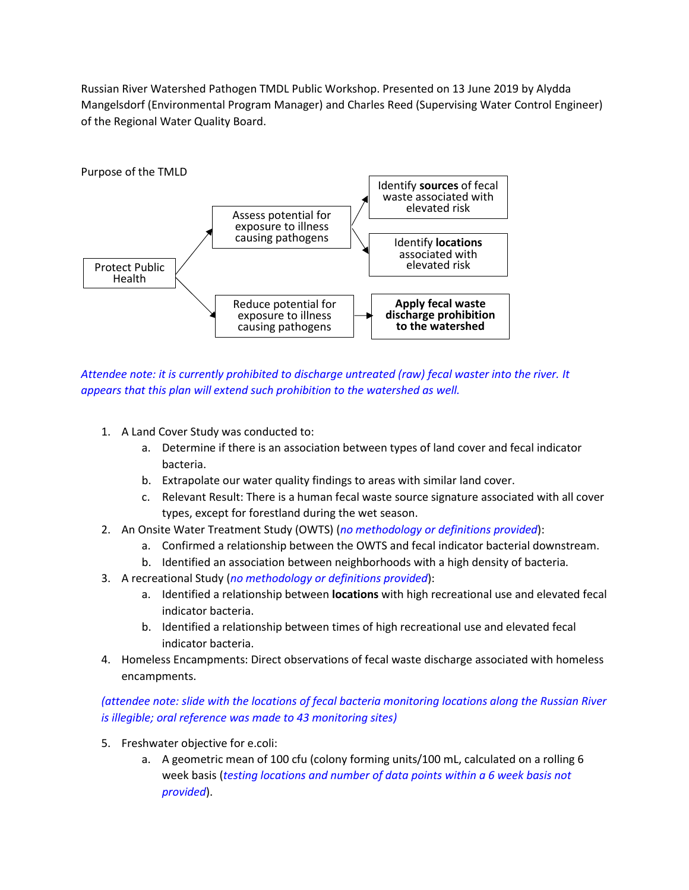Russian River Watershed Pathogen TMDL Public Workshop. Presented on 13 June 2019 by Alydda Mangelsdorf (Environmental Program Manager) and Charles Reed (Supervising Water Control Engineer) of the Regional Water Quality Board.



*Attendee note: it is currently prohibited to discharge untreated (raw) fecal waster into the river. It appears that this plan will extend such prohibition to the watershed as well.* 

- 1. A Land Cover Study was conducted to:
	- a. Determine if there is an association between types of land cover and fecal indicator bacteria.
	- b. Extrapolate our water quality findings to areas with similar land cover.
	- c. Relevant Result: There is a human fecal waste source signature associated with all cover types, except for forestland during the wet season.
- 2. An Onsite Water Treatment Study (OWTS) (*no methodology or definitions provided*):
	- a. Confirmed a relationship between the OWTS and fecal indicator bacterial downstream.
	- b. Identified an association between neighborhoods with a high density of bacteria.
- 3. A recreational Study (*no methodology or definitions provided*):
	- a. Identified a relationship between **locations** with high recreational use and elevated fecal indicator bacteria.
	- b. Identified a relationship between times of high recreational use and elevated fecal indicator bacteria.
- 4. Homeless Encampments: Direct observations of fecal waste discharge associated with homeless encampments.

*(attendee note: slide with the locations of fecal bacteria monitoring locations along the Russian River is illegible; oral reference was made to 43 monitoring sites)*

- 5. Freshwater objective for e.coli:
	- a. A geometric mean of 100 cfu (colony forming units/100 mL, calculated on a rolling 6 week basis (*testing locations and number of data points within a 6 week basis not provided*).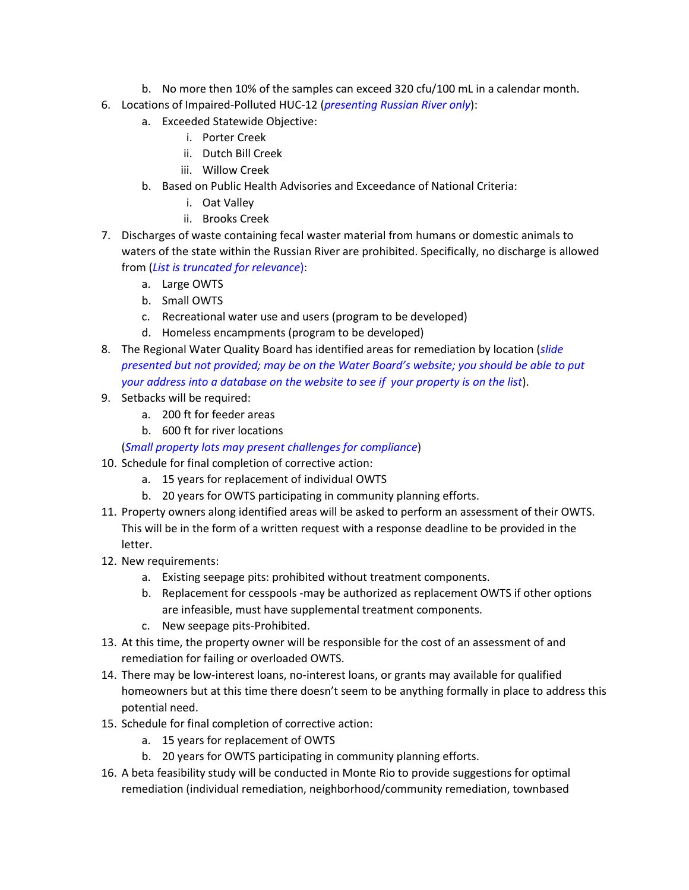- b. No more then 10% of the samples can exceed 320 cfu/100 mL in a calendar month.
- 6. Locations of Impaired-Polluted HUC-12 (*presenting Russian River only*):
	- a. Exceeded Statewide Objective:
		- i. Porter Creek
		- ii. Dutch Bill Creek
		- iii. Willow Creek
	- b. Based on Public Health Advisories and Exceedance of National Criteria:
		- i. Oat Valley
		- ii. Brooks Creek
- 7. Discharges of waste containing fecal waster material from humans or domestic animals to waters of the state within the Russian River are prohibited. Specifically, no discharge is allowed from (*List is truncated for relevance*):
	- a. Large OWTS
	- b. Small OWTS
	- c. Recreational water use and users (program to be developed)
	- d. Homeless encampments (program to be developed)
- 8. The Regional Water Quality Board has identified areas for remediation by location (*slide presented but not provided; may be on the Water Board's website; you should be able to put your address into a database on the website to see if your property is on the list*).
- 9. Setbacks will be required:
	- a. 200 ft for feeder areas
	- b. 600 ft for river locations

(*Small property lots may present challenges for compliance*)

- 10. Schedule for final completion of corrective action:
	- a. 15 years for replacement of individual OWTS
	- b. 20 years for OWTS participating in community planning efforts.
- 11. Property owners along identified areas will be asked to perform an assessment of their OWTS. This will be in the form of a written request with a response deadline to be provided in the letter.
- 12. New requirements:
	- a. Existing seepage pits: prohibited without treatment components.
	- b. Replacement for cesspools -may be authorized as replacement OWTS if other options are infeasible, must have supplemental treatment components.
	- c. New seepage pits-Prohibited.
- 13. At this time, the property owner will be responsible for the cost of an assessment of and remediation for failing or overloaded OWTS.
- 14. There may be low-interest loans, no-interest loans, or grants may available for qualified homeowners but at this time there doesn't seem to be anything formally in place to address this potential need.
- 15. Schedule for final completion of corrective action:
	- a. 15 years for replacement of OWTS
	- b. 20 years for OWTS participating in community planning efforts.
- 16. A beta feasibility study will be conducted in Monte Rio to provide suggestions for optimal remediation (individual remediation, neighborhood/community remediation, townbased